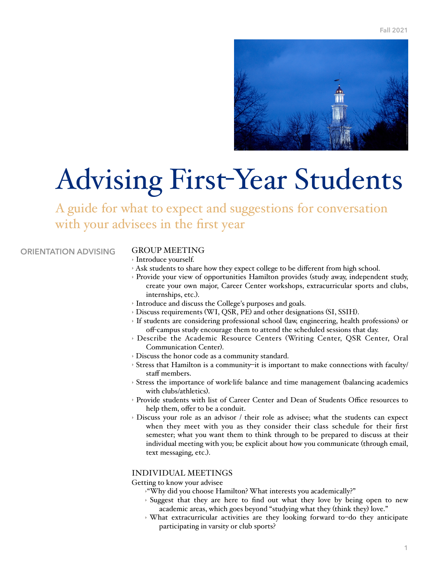

# Advising First-Year Students

A guide for what to expect and suggestions for conversation with your advisees in the first year

**ORIENTATION ADVISING**

## GROUP MEETING

- ‣ Introduce yourself.
- ‣ Ask students to share how they expect college to be different from high school.
- ‣ Provide your view of opportunities Hamilton provides (study away, independent study, create your own major, Career Center workshops, extracurricular sports and clubs, internships, etc.).
- ‣ Introduce and discuss the College's purposes and goals.
- ‣ Discuss requirements (WI, QSR, PE) and other designations (SI, SSIH).
- ‣ If students are considering professional school (law, engineering, health professions) or off-campus study encourage them to attend the scheduled sessions that day.
- ‣ Describe the Academic Resource Centers (Writing Center, QSR Center, Oral Communication Center).
- ‣ Discuss the honor code as a community standard.
- ‣ Stress that Hamilton is a community–it is important to make connections with faculty/ staff members.
- ‣ Stress the importance of work-life balance and time management (balancing academics with clubs/athletics).
- ‣ Provide students with list of Career Center and Dean of Students Office resources to help them, offer to be a conduit.
- ‣ Discuss your role as an advisor / their role as advisee; what the students can expect when they meet with you as they consider their class schedule for their first semester; what you want them to think through to be prepared to discuss at their individual meeting with you; be explicit about how you communicate (through email, text messaging, etc.).

### INDIVIDUAL MEETINGS

Getting to know your advisee

- ‣"Why did you choose Hamilton? What interests you academically?"
- ‣ Suggest that they are here to find out what they love by being open to new academic areas, which goes beyond "studying what they (think they) love."
- ‣ What extracurricular activities are they looking forward to–do they anticipate participating in varsity or club sports?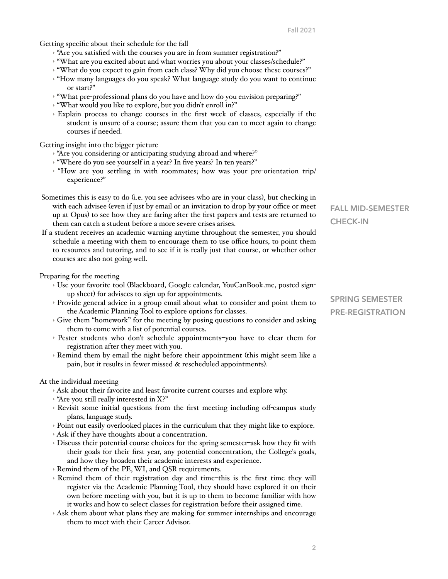Getting specific about their schedule for the fall

- ‣ "Are you satisfied with the courses you are in from summer registration?"
- ‣ "What are you excited about and what worries you about your classes/schedule?"
- ‣ "What do you expect to gain from each class? Why did you choose these courses?"
- ‣ "How many languages do you speak? What language study do you want to continue or start?"
- ‣ "What pre-professional plans do you have and how do you envision preparing?"
- ‣ "What would you like to explore, but you didn't enroll in?"
- ‣ Explain process to change courses in the first week of classes, especially if the student is unsure of a course; assure them that you can to meet again to change courses if needed.

Getting insight into the bigger picture

- ‣ "Are you considering or anticipating studying abroad and where?"
- ‣ "Where do you see yourself in a year? In five years? In ten years?"
- $\rightarrow$  "How are you settling in with roommates; how was your pre-orientation trip/ experience?"
- Sometimes this is easy to do (i.e. you see advisees who are in your class), but checking in with each advisee (even if just by email or an invitation to drop by your office or meet up at Opus) to see how they are faring after the first papers and tests are returned to them can catch a student before a more severe crises arises.
- If a student receives an academic warning anytime throughout the semester, you should schedule a meeting with them to encourage them to use office hours, to point them to resources and tutoring, and to see if it is really just that course, or whether other courses are also not going well.

Preparing for the meeting

- ‣ Use your favorite tool (Blackboard, Google calendar, YouCanBook.me, posted signup sheet) for advisees to sign up for appointments.
- ‣ Provide general advice in a group email about what to consider and point them to the Academic Planning Tool to explore options for classes.
- ‣ Give them "homework" for the meeting by posing questions to consider and asking them to come with a list of potential courses.
- ‣ Pester students who don't schedule appointments–you have to clear them for registration after they meet with you.
- ‣ Remind them by email the night before their appointment (this might seem like a pain, but it results in fewer missed & rescheduled appointments).

At the individual meeting

- ‣ Ask about their favorite and least favorite current courses and explore why.
- $\rightarrow$  "Are you still really interested in X?"
- ‣ Revisit some initial questions from the first meeting including off-campus study plans, language study.
- ‣ Point out easily overlooked places in the curriculum that they might like to explore.
- ‣ Ask if they have thoughts about a concentration.
- ‣ Discuss their potential course choices for the spring semester–ask how they fit with their goals for their first year, any potential concentration, the College's goals, and how they broaden their academic interests and experience.
- ‣ Remind them of the PE, WI, and QSR requirements.
- ‣ Remind them of their registration day and time–this is the first time they will register via the Academic Planning Tool, they should have explored it on their own before meeting with you, but it is up to them to become familiar with how it works and how to select classes for registration before their assigned time.
- ‣ Ask them about what plans they are making for summer internships and encourage them to meet with their Career Advisor.

**FALL MID-SEMESTER CHECK-IN**

# **SPRING SEMESTER PRE-REGISTRATION**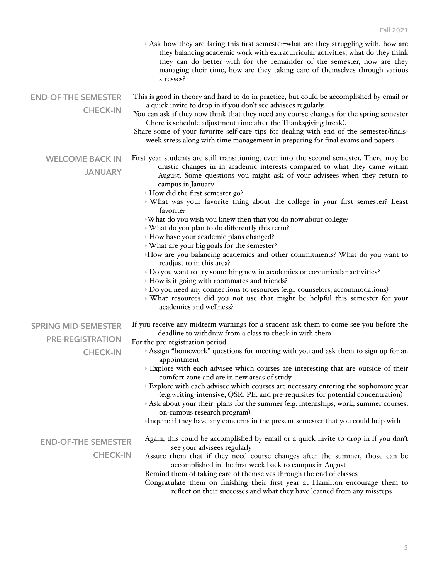|                                                                          | Ask how they are faring this first semester-what are they struggling with, how are<br>they balancing academic work with extracurricular activities, what do they think<br>they can do better with for the remainder of the semester, how are they<br>managing their time, how are they taking care of themselves through various<br>stresses?                                                                                                                                                                                                                                                                                                                                                                                                                                                                                                                                                                                                                                                                                                              |
|--------------------------------------------------------------------------|------------------------------------------------------------------------------------------------------------------------------------------------------------------------------------------------------------------------------------------------------------------------------------------------------------------------------------------------------------------------------------------------------------------------------------------------------------------------------------------------------------------------------------------------------------------------------------------------------------------------------------------------------------------------------------------------------------------------------------------------------------------------------------------------------------------------------------------------------------------------------------------------------------------------------------------------------------------------------------------------------------------------------------------------------------|
| <b>END-OF-THE SEMESTER</b><br><b>CHECK-IN</b>                            | This is good in theory and hard to do in practice, but could be accomplished by email or<br>a quick invite to drop in if you don't see advisees regularly.<br>You can ask if they now think that they need any course changes for the spring semester<br>(there is schedule adjustment time after the Thanksgiving break).<br>Share some of your favorite self-care tips for dealing with end of the semester/finals-<br>week stress along with time management in preparing for final exams and papers.                                                                                                                                                                                                                                                                                                                                                                                                                                                                                                                                                   |
| <b>WELCOME BACK IN</b><br><b>JANUARY</b>                                 | First year students are still transitioning, even into the second semester. There may be<br>drastic changes in in academic interests compared to what they came within<br>August. Some questions you might ask of your advisees when they return to<br>campus in January<br>How did the first semester go?<br>> What was your favorite thing about the college in your first semester? Least<br>favorite?<br>What do you wish you knew then that you do now about college?<br>> What do you plan to do differently this term?<br>How have your academic plans changed?<br>What are your big goals for the semester?<br>How are you balancing academics and other commitments? What do you want to<br>readjust to in this area?<br>> Do you want to try something new in academics or co-curricular activities?<br>How is it going with roommates and friends?<br>> Do you need any connections to resources (e.g., counselors, accommodations)<br>> What resources did you not use that might be helpful this semester for your<br>academics and wellness? |
| <b>SPRING MID-SEMESTER</b><br><b>PRE-REGISTRATION</b><br><b>CHECK-IN</b> | If you receive any midterm warnings for a student ask them to come see you before the<br>deadline to withdraw from a class to check-in with them<br>For the pre-registration period<br>Assign "homework" questions for meeting with you and ask them to sign up for an<br>appointment<br>> Explore with each advisee which courses are interesting that are outside of their<br>comfort zone and are in new areas of study<br>> Explore with each advisee which courses are necessary entering the sophomore year<br>(e.g.writing-intensive, QSR, PE, and pre-requisites for potential concentration)<br>Ask about your their plans for the summer (e.g. internships, work, summer courses,<br>on-campus research program)<br>>Inquire if they have any concerns in the present semester that you could help with                                                                                                                                                                                                                                          |
| <b>END-OF-THE SEMESTER</b><br><b>CHECK-IN</b>                            | Again, this could be accomplished by email or a quick invite to drop in if you don't<br>see your advisees regularly<br>Assure them that if they need course changes after the summer, those can be<br>accomplished in the first week back to campus in August<br>Remind them of taking care of themselves through the end of classes<br>Congratulate them on finishing their first year at Hamilton encourage them to<br>reflect on their successes and what they have learned from any missteps                                                                                                                                                                                                                                                                                                                                                                                                                                                                                                                                                           |